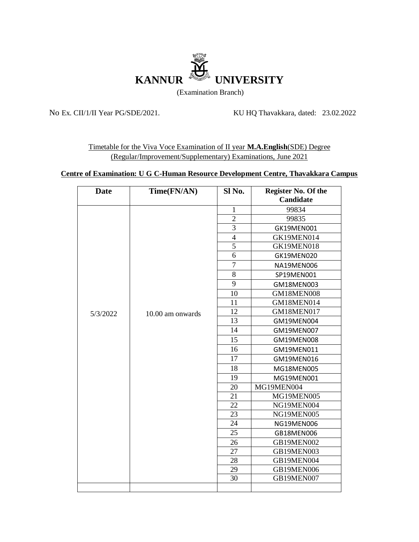

No Ex. CII/1/II Year PG/SDE/2021. KU HQ Thavakkara, dated: 23.02.2022

Timetable for the Viva Voce Examination of II year **M.A.English**(SDE) Degree (Regular/Improvement/Supplementary) Examinations, June 2021

## **Centre of Examination: U G C-Human Resource Development Centre, Thavakkara Campus**

| <b>Date</b> | Time(FN/AN)      | Sl No.         | Register No. Of the<br>Candidate |
|-------------|------------------|----------------|----------------------------------|
|             |                  | $\mathbf{1}$   | 99834                            |
|             |                  | $\overline{2}$ | 99835                            |
|             |                  | 3              | GK19MEN001                       |
|             |                  | $\overline{4}$ | GK19MEN014                       |
|             |                  | $\overline{5}$ | GK19MEN018                       |
|             |                  | 6              | GK19MEN020                       |
|             |                  | $\overline{7}$ | NA19MEN006                       |
|             |                  | 8              | SP19MEN001                       |
|             |                  | 9              | GM18MEN003                       |
|             |                  | 10             | GM18MEN008                       |
|             |                  | 11             | GM18MEN014                       |
| 5/3/2022    | 10.00 am onwards | 12             | GM18MEN017                       |
|             |                  | 13             | GM19MEN004                       |
|             |                  | 14             | GM19MEN007                       |
|             |                  | 15             | GM19MEN008                       |
|             |                  | 16             | GM19MEN011                       |
|             |                  | 17             | GM19MEN016                       |
|             |                  | 18             | MG18MEN005                       |
|             |                  | 19             | MG19MEN001                       |
|             |                  | 20             | MG19MEN004                       |
|             |                  | 21             | MG19MEN005                       |
|             |                  | 22             | NG19MEN004                       |
|             |                  | 23             | NG19MEN005                       |
|             |                  | 24             | NG19MEN006                       |
|             |                  | 25             | GB18MEN006                       |
|             |                  | 26             | GB19MEN002                       |
|             |                  | 27             | GB19MEN003                       |
|             |                  | 28             | GB19MEN004                       |
|             |                  | 29             | GB19MEN006                       |
|             |                  | 30             | GB19MEN007                       |
|             |                  |                |                                  |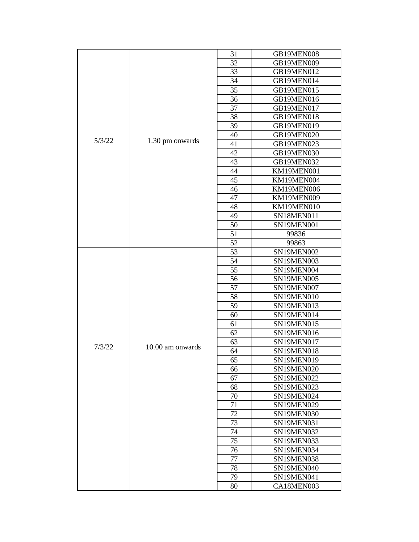| 5/3/22 |                  | 31              | GB19MEN008 |
|--------|------------------|-----------------|------------|
|        |                  | 32              | GB19MEN009 |
|        |                  | 33              | GB19MEN012 |
|        | 1.30 pm onwards  | 34              | GB19MEN014 |
|        |                  | 35              | GB19MEN015 |
|        |                  | 36              | GB19MEN016 |
|        |                  | 37              | GB19MEN017 |
|        |                  | 38              | GB19MEN018 |
|        |                  | 39              | GB19MEN019 |
|        |                  | 40              | GB19MEN020 |
|        |                  | 41              | GB19MEN023 |
|        |                  | 42              | GB19MEN030 |
|        |                  | 43              | GB19MEN032 |
|        |                  | 44              | KM19MEN001 |
|        |                  | 45              | KM19MEN004 |
|        |                  | 46              | KM19MEN006 |
|        |                  | 47              | KM19MEN009 |
|        |                  | 48              | KM19MEN010 |
|        |                  | 49              | SN18MEN011 |
|        |                  | 50              | SN19MEN001 |
|        |                  | 51              | 99836      |
|        |                  | 52              | 99863      |
|        |                  | 53              | SN19MEN002 |
|        |                  | 54              | SN19MEN003 |
|        |                  | $\overline{55}$ | SN19MEN004 |
|        |                  | 56              | SN19MEN005 |
|        |                  | 57              | SN19MEN007 |
|        |                  | 58              | SN19MEN010 |
|        |                  | 59              | SN19MEN013 |
|        |                  | 60              | SN19MEN014 |
|        |                  | 61              | SN19MEN015 |
|        | 10.00 am onwards | 62              | SN19MEN016 |
|        |                  | 63              | SN19MEN017 |
| 7/3/22 |                  | 64              | SN19MEN018 |
|        |                  | 65              | SN19MEN019 |
|        |                  | 66              | SN19MEN020 |
|        |                  | 67              | SN19MEN022 |
|        |                  | 68              | SN19MEN023 |
|        |                  | 70              | SN19MEN024 |
|        |                  | 71              | SN19MEN029 |
|        |                  | 72              | SN19MEN030 |
|        |                  | 73              | SN19MEN031 |
|        |                  | 74              | SN19MEN032 |
|        |                  | 75              | SN19MEN033 |
|        |                  | 76              | SN19MEN034 |
|        |                  | 77              | SN19MEN038 |
|        |                  | 78              | SN19MEN040 |
|        |                  | 79              | SN19MEN041 |
|        |                  | 80              | CA18MEN003 |